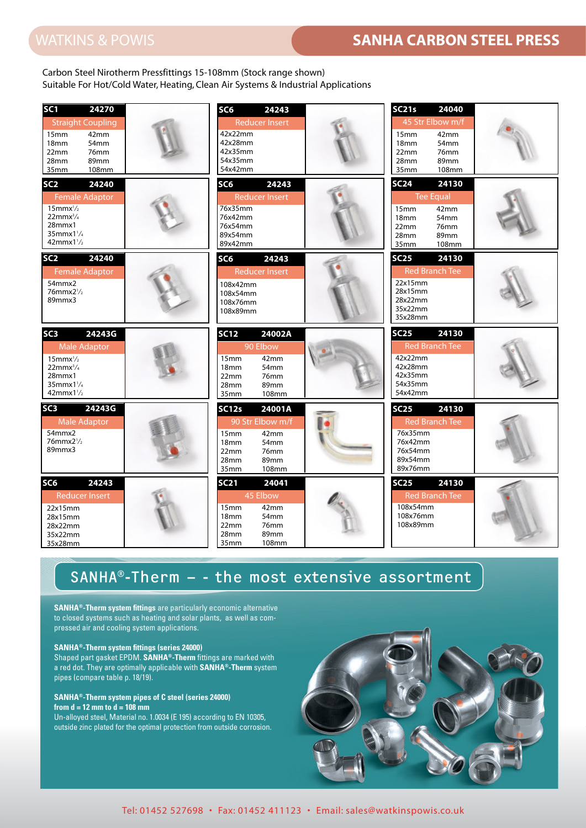## WATKINS & POWIS **SANHA CARBON STEEL PRESS** WATKINS & POWIS **SANHA CARBON STEEL PRESS**

Carbon Steel Nirotherm Pressfittings 15-108mm (Stock range shown) Suitable For Hot/Cold Water, Heating, Clean Air Systems & Industrial Applications

| SC <sub>1</sub><br>24270<br><b>Straight Coupling</b><br>15 <sub>mm</sub><br>42mm<br>18 <sub>mm</sub><br>54mm<br>22mm<br>76mm<br>28mm<br>89mm<br>35mm<br>108mm         | SC6<br>24243<br><b>Reducer Insert</b><br>42x22mm<br>42x28mm<br>42x35mm<br>54x35mm<br>54x42mm                                                                    | <b>SC21s</b><br>24040<br>45 Str Elbow m/f<br>42mm<br>15 <sub>mm</sub><br>54mm<br>18 <sub>mm</sub><br>22mm<br>76mm<br>28mm<br>89mm<br>35mm<br><b>108mm</b> |
|-----------------------------------------------------------------------------------------------------------------------------------------------------------------------|-----------------------------------------------------------------------------------------------------------------------------------------------------------------|-----------------------------------------------------------------------------------------------------------------------------------------------------------|
| 24240<br>SC <sub>2</sub><br><b>Female Adaptor</b><br>$15$ mmx $\frac{1}{2}$<br>$22mmx^3/4$<br>28mmx1<br>35mmx1 <sup>1</sup> / <sub>4</sub><br>$42$ mmx $1\frac{1}{2}$ | SC <sub>6</sub><br>24243<br><b>Reducer Insert</b><br>76x35mm<br>76x42mm<br>76x54mm<br>89x54mm<br>89x42mm                                                        | <b>SC24</b><br>24130<br><b>Tee Equal</b><br>42mm<br>15 <sub>mm</sub><br>18 <sub>mm</sub><br>54mm<br>76mm<br>22mm<br>28mm<br>89mm<br>35mm<br>108mm         |
| 24240<br>SC <sub>2</sub><br><b>Female Adaptor</b><br>54mmx2<br>76mmx2 <sup>1</sup> /2<br>89mmx3                                                                       | SC <sub>6</sub><br>24243<br><b>Reducer Insert</b><br>108x42mm<br>108x54mm<br>108x76mm<br>108x89mm                                                               | <b>SC25</b><br>24130<br><b>Red Branch Tee</b><br>22x15mm<br>28x15mm<br>28x22mm<br>35x22mm<br>35x28mm                                                      |
| SC <sub>3</sub><br>24243G<br><b>Male Adaptor</b><br>$15$ mmx $\frac{1}{2}$<br>$22$ mm $x^3/4$<br>28mmx1<br>$35$ mmx $1\frac{1}{4}$<br>$42mmx1\frac{1}{2}$             | <b>SC12</b><br>24002A<br>90 Elbow<br>15mm<br>42mm<br>54mm<br>18 <sub>mm</sub><br>22mm<br>76mm<br>28mm<br>89mm<br>35mm<br>108mm                                  | 24130<br><b>SC25</b><br><b>Red Branch Tee</b><br>42x22mm<br>42x28mm<br>42x35mm<br>54x35mm<br>54x42mm                                                      |
| SC <sub>3</sub><br>24243G<br><b>Male Adaptor</b><br>54mmx2<br>$76$ mmx $2\frac{1}{2}$<br>89mmx3                                                                       | 24001A<br><b>SC12s</b><br>90 Str Elbow m/f<br>42mm<br>15 <sub>mm</sub><br>18 <sub>mm</sub><br>54mm<br>22mm<br>76 <sub>mm</sub><br>89mm<br>28mm<br>35mm<br>108mm | <b>SC25</b><br>24130<br><b>Red Branch Tee</b><br>76x35mm<br>76x42mm<br>76x54mm<br>89x54mm<br>89x76mm                                                      |
| SC <sub>6</sub><br>24243<br><b>Reducer Insert</b><br>22x15mm<br>28x15mm<br>28x22mm<br>35x22mm<br>35x28mm                                                              | <b>SC21</b><br>24041<br>45 Elbow<br>42mm<br>15 <sub>mm</sub><br>18 <sub>mm</sub><br>54mm<br>76mm<br>22mm<br>28mm<br>89mm<br>108mm<br>35mm                       | 24130<br><b>SC25</b><br><b>Red Branch Tee</b><br>108x54mm<br>108x76mm<br>108x89mm                                                                         |

### SANHA®-Therm  $-$  - the most extensive assortment

**SANHA®-Therm system fittings** are particularly economic alternative to closed systems such as heating and solar plants, as well as compressed air and cooling system applications.

#### **SANHA®-Therm system fittings (series 24000)**

Shaped part gasket EPDM. **SANHA®-Therm** fittings are marked with a red dot. They are optimally applicable with **SANHA®-Therm** system pipes (compare table p. 18/19).

#### **SANHA®-Therm system pipes of C steel (series 24000) from d = 12 mm to d = 108 mm**

Un-alloyed steel, Material no. 1.0034 (E 195) according to EN 10305, 10305, outside zinc plated for the optimal protection from outside corrosion.